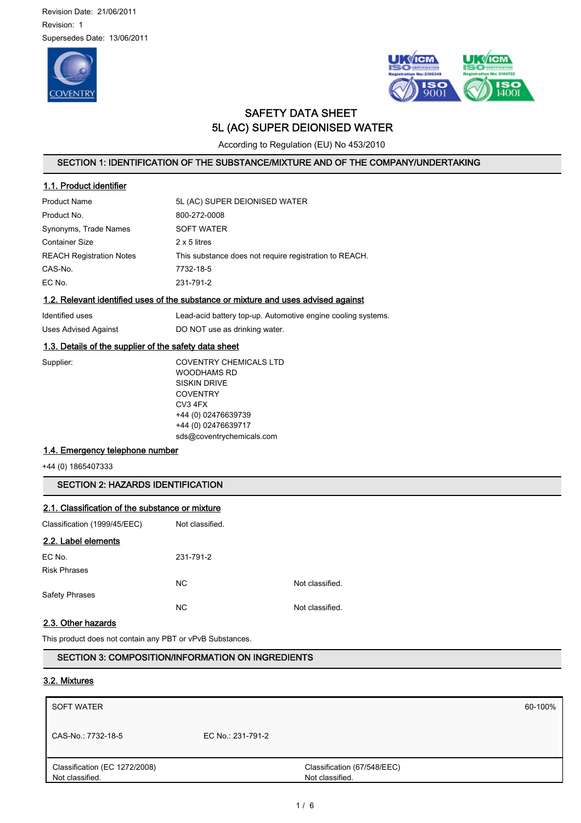Revision Date: 21/06/2011 Revision: 1 Supersedes Date: 13/06/2011





# SAFETY DATA SHEET 5L (AC) SUPER DEIONISED WATER

According to Regulation (EU) No 453/2010

## SECTION 1: IDENTIFICATION OF THE SUBSTANCE/MIXTURE AND OF THE COMPANY/UNDERTAKING

| 1.1. Product identifier         |                                                        |
|---------------------------------|--------------------------------------------------------|
| <b>Product Name</b>             | 5L (AC) SUPER DEIONISED WATER                          |
| Product No.                     | 800-272-0008                                           |
| Synonyms, Trade Names           | <b>SOFT WATER</b>                                      |
| <b>Container Size</b>           | 2 x 5 litres                                           |
| <b>REACH Registration Notes</b> | This substance does not require registration to REACH. |
| CAS-No.                         | 7732-18-5                                              |
| EC No.                          | 231-791-2                                              |
|                                 |                                                        |

## 1.2. Relevant identified uses of the substance or mixture and uses advised against

| Identified uses      | Lead-acid battery top-up. Automotive engine cooling systems. |
|----------------------|--------------------------------------------------------------|
| Uses Advised Against | DO NOT use as drinking water.                                |

## 1.3. Details of the supplier of the safety data sheet

| upplier: |  |  |
|----------|--|--|
|          |  |  |
|          |  |  |
|          |  |  |
|          |  |  |
|          |  |  |

Supplier: COVENTRY CHEMICALS LTD WOODHAMS RD SISKIN DRIVE **COVENTRY** CV3 4FX +44 (0) 02476639739 +44 (0) 02476639717 sds@coventrychemicals.com

## 1.4. Emergency telephone number

+44 (0) 1865407333

## SECTION 2: HAZARDS IDENTIFICATION

## 2.1. Classification of the substance or mixture

| Classification (1999/45/EEC) | Not classified. |                 |
|------------------------------|-----------------|-----------------|
| 2.2. Label elements          |                 |                 |
| EC No.                       | 231-791-2       |                 |
| <b>Risk Phrases</b>          |                 |                 |
|                              | N <sub>C</sub>  | Not classified. |
| <b>Safety Phrases</b>        |                 |                 |
|                              | N <sub>C</sub>  | Not classified. |

## 2.3. Other hazards

This product does not contain any PBT or vPvB Substances.

## SECTION 3: COMPOSITION/INFORMATION ON INGREDIENTS

### 3.2. Mixtures

| <b>SOFT WATER</b>                                |                   |                                                | 60-100% |
|--------------------------------------------------|-------------------|------------------------------------------------|---------|
| CAS-No.: 7732-18-5                               | EC No.: 231-791-2 |                                                |         |
| Classification (EC 1272/2008)<br>Not classified. |                   | Classification (67/548/EEC)<br>Not classified. |         |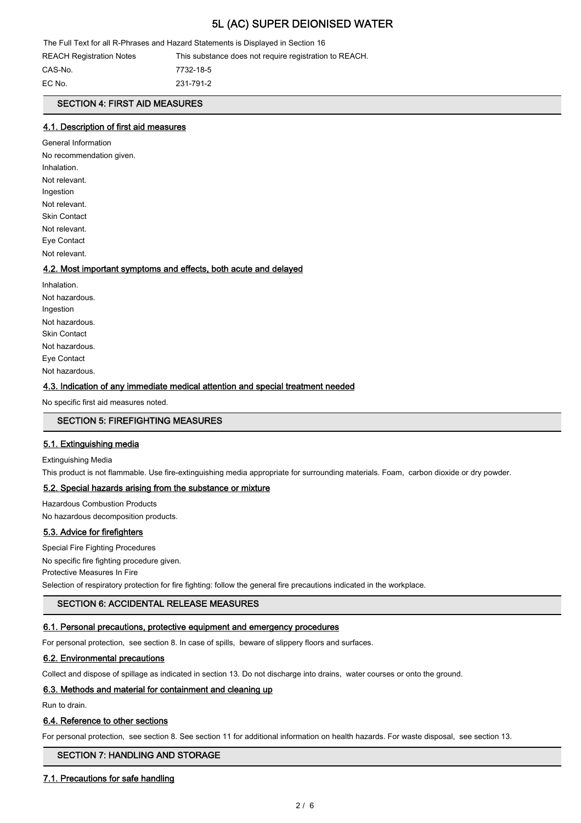The Full Text for all R-Phrases and Hazard Statements is Displayed in Section 16

REACH Registration Notes This substance does not require registration to REACH.

CAS-No. 7732-18-5 EC No. 231-791-2

## SECTION 4: FIRST AID MEASURES

### 4.1. Description of first aid measures

General Information No recommendation given. Inhalation. Not relevant. Ingestion Not relevant. Skin Contact Not relevant. Eye Contact Not relevant.

### 4.2. Most important symptoms and effects, both acute and delayed

Inhalation. Not hazardous. Ingestion Not hazardous. Skin Contact Not hazardous. Eye Contact Not hazardous.

### 4.3. Indication of any immediate medical attention and special treatment needed

No specific first aid measures noted.

### SECTION 5: FIREFIGHTING MEASURES

### 5.1. Extinguishing media

Extinguishing Media

This product is not flammable. Use fire-extinguishing media appropriate for surrounding materials. Foam, carbon dioxide or dry powder.

### 5.2. Special hazards arising from the substance or mixture

Hazardous Combustion Products No hazardous decomposition products.

### 5.3. Advice for firefighters

Special Fire Fighting Procedures No specific fire fighting procedure given. Protective Measures In Fire Selection of respiratory protection for fire fighting: follow the general fire precautions indicated in the workplace.

## SECTION 6: ACCIDENTAL RELEASE MEASURES

### 6.1. Personal precautions, protective equipment and emergency procedures

For personal protection, see section 8. In case of spills, beware of slippery floors and surfaces.

### 6.2. Environmental precautions

Collect and dispose of spillage as indicated in section 13. Do not discharge into drains, water courses or onto the ground.

### 6.3. Methods and material for containment and cleaning up

Run to drain.

### 6.4. Reference to other sections

For personal protection, see section 8. See section 11 for additional information on health hazards. For waste disposal, see section 13.

### SECTION 7: HANDLING AND STORAGE

### 7.1. Precautions for safe handling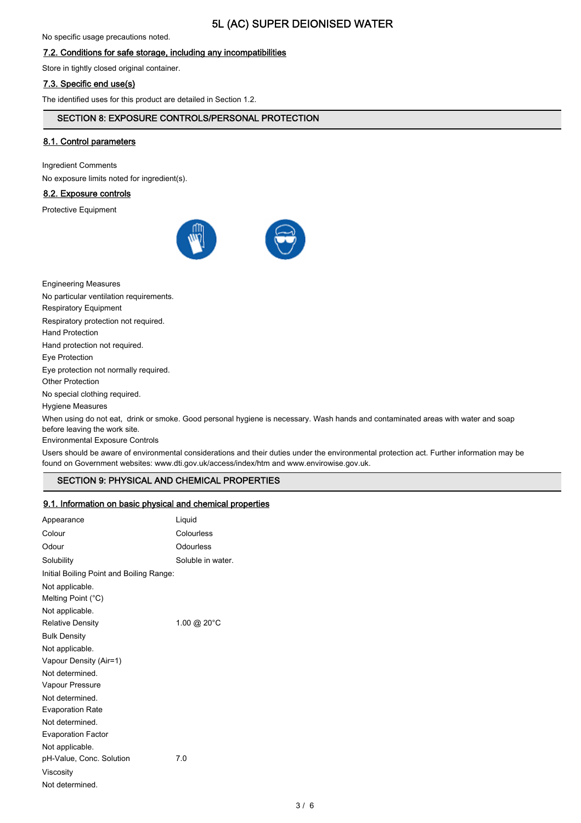No specific usage precautions noted.

## 7.2. Conditions for safe storage, including any incompatibilities

Store in tightly closed original container.

### 7.3. Specific end use(s)

The identified uses for this product are detailed in Section 1.2.

### SECTION 8: EXPOSURE CONTROLS/PERSONAL PROTECTION

### 8.1. Control parameters

Ingredient Comments

No exposure limits noted for ingredient(s).

### 8.2. Exposure controls

Protective Equipment



Engineering Measures No particular ventilation requirements. Respiratory Equipment Respiratory protection not required. Hand Protection Hand protection not required. Eye Protection Eye protection not normally required. Other Protection No special clothing required. Hygiene Measures When using do not eat, drink or smoke. Good personal hygiene is necessary. Wash hands and contaminated areas with water and soap

before leaving the work site. Environmental Exposure Controls

Users should be aware of environmental considerations and their duties under the environmental protection act. Further information may be found on Government websites: www.dti.gov.uk/access/index/htm and www.envirowise.gov.uk.

## SECTION 9: PHYSICAL AND CHEMICAL PROPERTIES

### 9.1. Information on basic physical and chemical properties

| Appearance                               | Liquid            |
|------------------------------------------|-------------------|
| Colour                                   | Colourless        |
| Odour                                    | Odourless         |
| Solubility                               | Soluble in water. |
| Initial Boiling Point and Boiling Range: |                   |
| Not applicable.                          |                   |
| Melting Point (°C)                       |                   |
| Not applicable.                          |                   |
| <b>Relative Density</b>                  | 1.00 @ 20°C       |
| <b>Bulk Density</b>                      |                   |
| Not applicable.                          |                   |
| Vapour Density (Air=1)                   |                   |
| Not determined.                          |                   |
| Vapour Pressure                          |                   |
| Not determined.                          |                   |
| <b>Evaporation Rate</b>                  |                   |
| Not determined                           |                   |
| <b>Evaporation Factor</b>                |                   |
| Not applicable.                          |                   |
| pH-Value, Conc. Solution                 | 7.0               |
| Viscosity                                |                   |
| Not determined.                          |                   |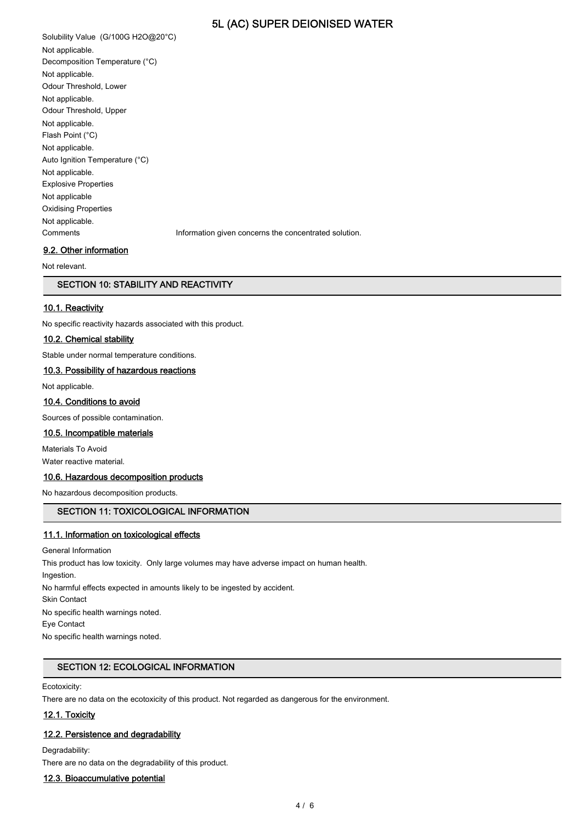Solubility Value (G/100G H2O@20°C) Not applicable. Decomposition Temperature (°C) Not applicable. Odour Threshold, Lower Not applicable. Odour Threshold, Upper Not applicable. Flash Point (°C) Not applicable. Auto Ignition Temperature (°C) Not applicable. Explosive Properties Not applicable Oxidising Properties Not applicable. Comments Information given concerns the concentrated solution. 9.2. Other information

Not relevant.

## SECTION 10: STABILITY AND REACTIVITY

## 10.1. Reactivity

No specific reactivity hazards associated with this product.

## 10.2. Chemical stability

Stable under normal temperature conditions.

#### 10.3. Possibility of hazardous reactions

Not applicable.

#### 10.4. Conditions to avoid

Sources of possible contamination.

## 10.5. Incompatible materials

Materials To Avoid

Water reactive material.

### 10.6. Hazardous decomposition products

No hazardous decomposition products.

## SECTION 11: TOXICOLOGICAL INFORMATION

### 11.1. Information on toxicological effects

General Information This product has low toxicity. Only large volumes may have adverse impact on human health. Ingestion. No harmful effects expected in amounts likely to be ingested by accident. Skin Contact No specific health warnings noted. Eye Contact No specific health warnings noted.

### SECTION 12: ECOLOGICAL INFORMATION

Ecotoxicity:

There are no data on the ecotoxicity of this product. Not regarded as dangerous for the environment.

### 12.1. Toxicity

#### 12.2. Persistence and degradability

Degradability:

There are no data on the degradability of this product.

#### 12.3. Bioaccumulative potential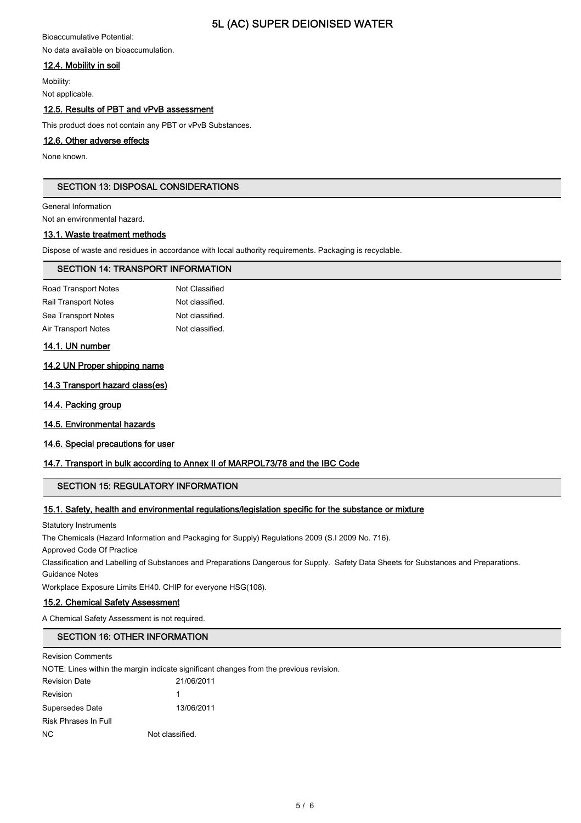Bioaccumulative Potential: No data available on bioaccumulation.

## 12.4. Mobility in soil

Mobility: Not applicable.

## 12.5. Results of PBT and vPvB assessment

This product does not contain any PBT or vPvB Substances.

## 12.6. Other adverse effects

None known.

## SECTION 13: DISPOSAL CONSIDERATIONS

General Information

Not an environmental hazard.

### 13.1. Waste treatment methods

Dispose of waste and residues in accordance with local authority requirements. Packaging is recyclable.

### SECTION 14: TRANSPORT INFORMATION

| Road Transport Notes        | Not Classified  |
|-----------------------------|-----------------|
| <b>Rail Transport Notes</b> | Not classified. |
| Sea Transport Notes         | Not classified. |
| Air Transport Notes         | Not classified. |
|                             |                 |

### 14.1. UN number

### 14.2 UN Proper shipping name

- 14.3 Transport hazard class(es)
- 14.4. Packing group
- 14.5. Environmental hazards

## 14.6. Special precautions for user

## 14.7. Transport in bulk according to Annex II of MARPOL73/78 and the IBC Code

## SECTION 15: REGULATORY INFORMATION

## 15.1. Safety, health and environmental regulations/legislation specific for the substance or mixture

Statutory Instruments

The Chemicals (Hazard Information and Packaging for Supply) Regulations 2009 (S.I 2009 No. 716).

Approved Code Of Practice

Classification and Labelling of Substances and Preparations Dangerous for Supply. Safety Data Sheets for Substances and Preparations. Guidance Notes

Workplace Exposure Limits EH40. CHIP for everyone HSG(108).

## 15.2. Chemical Safety Assessment

A Chemical Safety Assessment is not required.

## SECTION 16: OTHER INFORMATION

Revision Comments

NOTE: Lines within the margin indicate significant changes from the previous revision.

| <b>Revision Date</b> | 21/06/2011      |
|----------------------|-----------------|
| Revision             | 1               |
| Supersedes Date      | 13/06/2011      |
| Risk Phrases In Full |                 |
| ΝC                   | Not classified. |